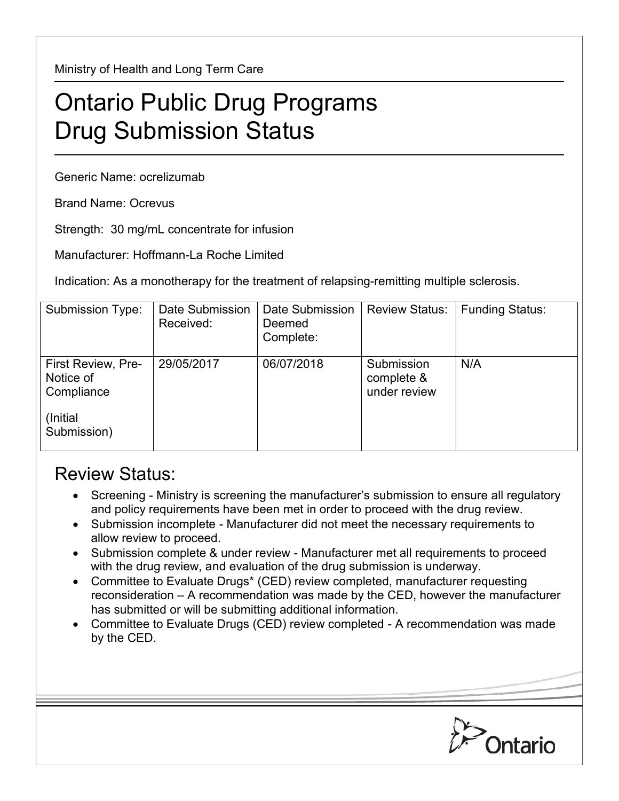Ministry of Health and Long Term Care

## Ontario Public Drug Programs Drug Submission Status

Generic Name: ocrelizumab

Brand Name: Ocrevus

Strength: 30 mg/mL concentrate for infusion

Manufacturer: Hoffmann-La Roche Limited

Indication: As a monotherapy for the treatment of relapsing-remitting multiple sclerosis.

| Submission Type:                                                  | Date Submission<br>Received: | Date Submission<br>Deemed<br>Complete: | <b>Review Status:</b>                    | <b>Funding Status:</b> |
|-------------------------------------------------------------------|------------------------------|----------------------------------------|------------------------------------------|------------------------|
| <b>First Review, Pre-</b><br>Notice of<br>Compliance<br>(Initial) | 29/05/2017                   | 06/07/2018                             | Submission<br>complete &<br>under review | N/A                    |
| Submission)                                                       |                              |                                        |                                          |                        |

## Review Status:

- Screening Ministry is screening the manufacturer's submission to ensure all regulatory and policy requirements have been met in order to proceed with the drug review.
- Submission incomplete Manufacturer did not meet the necessary requirements to allow review to proceed.
- Submission complete & under review Manufacturer met all requirements to proceed with the drug review, and evaluation of the drug submission is underway.
- Committee to Evaluate Drugs\* (CED) review completed, manufacturer requesting reconsideration – A recommendation was made by the CED, however the manufacturer has submitted or will be submitting additional information.
- Committee to Evaluate Drugs (CED) review completed A recommendation was made by the CED.